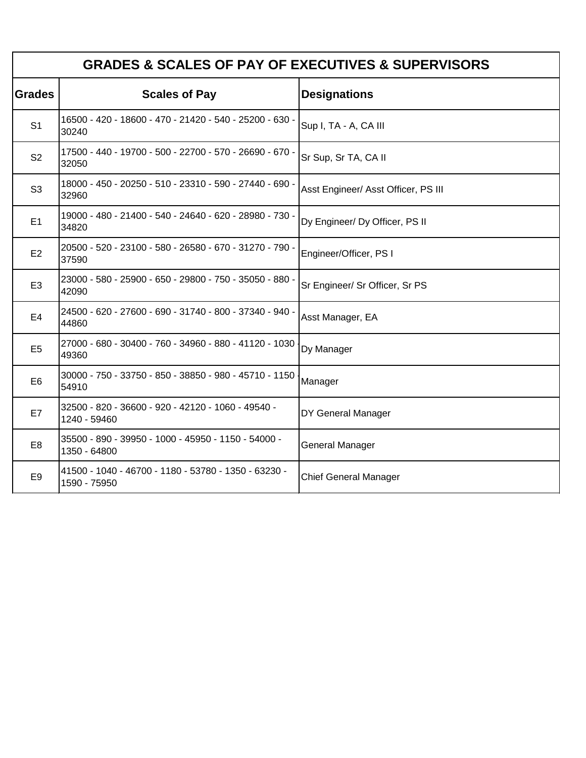| <b>GRADES &amp; SCALES OF PAY OF EXECUTIVES &amp; SUPERVISORS</b> |                                                                      |                                     |  |
|-------------------------------------------------------------------|----------------------------------------------------------------------|-------------------------------------|--|
| <b>Grades</b>                                                     | <b>Scales of Pay</b>                                                 | <b>Designations</b>                 |  |
| S <sub>1</sub>                                                    | 16500 - 420 - 18600 - 470 - 21420 - 540 - 25200 - 630 -<br>30240     | Sup I, TA - A, CA III               |  |
| S <sub>2</sub>                                                    | 17500 - 440 - 19700 - 500 - 22700 - 570 - 26690 - 670 -<br>32050     | Sr Sup, Sr TA, CA II                |  |
| S <sub>3</sub>                                                    | 18000 - 450 - 20250 - 510 - 23310 - 590 - 27440 - 690 -<br>32960     | Asst Engineer/ Asst Officer, PS III |  |
| E1                                                                | 19000 - 480 - 21400 - 540 - 24640 - 620 - 28980 - 730 -<br>34820     | Dy Engineer/ Dy Officer, PS II      |  |
| E <sub>2</sub>                                                    | 20500 - 520 - 23100 - 580 - 26580 - 670 - 31270 - 790 -<br>37590     | Engineer/Officer, PS I              |  |
| E <sub>3</sub>                                                    | 23000 - 580 - 25900 - 650 - 29800 - 750 - 35050 - 880 -<br>42090     | Sr Engineer/ Sr Officer, Sr PS      |  |
| E <sub>4</sub>                                                    | 24500 - 620 - 27600 - 690 - 31740 - 800 - 37340 - 940 -<br>44860     | Asst Manager, EA                    |  |
| E <sub>5</sub>                                                    | 27000 - 680 - 30400 - 760 - 34960 - 880 - 41120 - 1030<br>49360      | Dy Manager                          |  |
| E <sub>6</sub>                                                    | 30000 - 750 - 33750 - 850 - 38850 - 980 - 45710 - 1150<br>54910      | Manager                             |  |
| E7                                                                | 32500 - 820 - 36600 - 920 - 42120 - 1060 - 49540 -<br>1240 - 59460   | DY General Manager                  |  |
| E <sub>8</sub>                                                    | 35500 - 890 - 39950 - 1000 - 45950 - 1150 - 54000 -<br>1350 - 64800  | General Manager                     |  |
| E <sub>9</sub>                                                    | 41500 - 1040 - 46700 - 1180 - 53780 - 1350 - 63230 -<br>1590 - 75950 | <b>Chief General Manager</b>        |  |